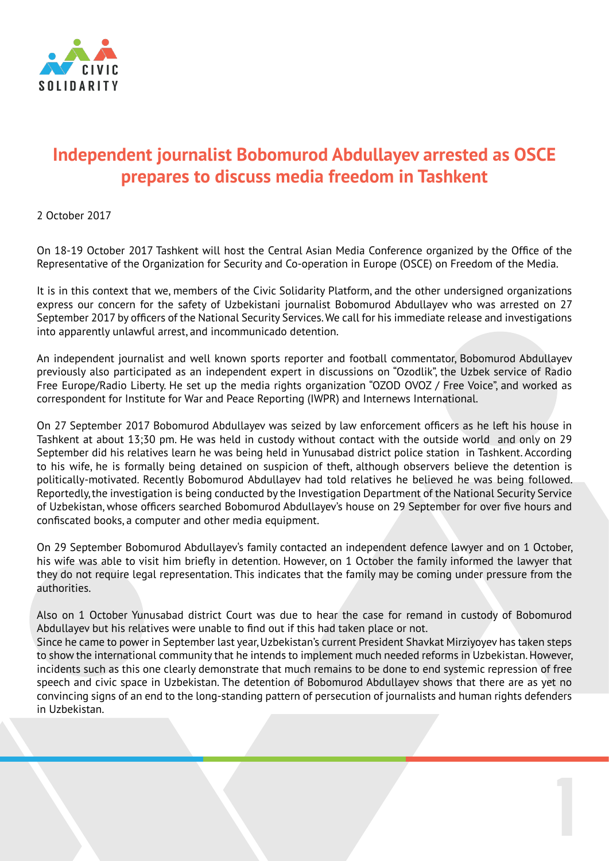

## **Independent journalist Bobomurod Abdullayev arrested as OSCE prepares to discuss media freedom in Tashkent**

2 October 2017

On 18-19 October 2017 Tashkent will host the Central Asian Media Conference organized by the Office of the Representative of the Organization for Security and Co-operation in Europe (OSCE) on Freedom of the Media.

It is in this context that we, members of the Civic Solidarity Platform, and the other undersigned organizations express our concern for the safety of Uzbekistani journalist Bobomurod Abdullayev who was arrested on 27 September 2017 by officers of the National Security Services. We call for his immediate release and investigations into apparently unlawful arrest, and incommunicado detention.

An independent journalist and well known sports reporter and football commentator, Bobomurod Abdullayev previously also participated as an independent expert in discussions on "Ozodlik", the Uzbek service of Radio Free Europe/Radio Liberty. He set up the media rights organization "OZOD OVOZ / Free Voice", and worked as correspondent for Institute for War and Peace Reporting (IWPR) and Internews International.

On 27 September 2017 Bobomurod Abdullayev was seized by law enforcement officers as he left his house in Tashkent at about 13;30 pm. He was held in custody without contact with the outside world and only on 29 September did his relatives learn he was being held in Yunusabad district police station in Tashkent. According to his wife, he is formally being detained on suspicion of theft, although observers believe the detention is politically-motivated. Recently Bobomurod Abdullayev had told relatives he believed he was being followed. Reportedly, the investigation is being conducted by the Investigation Department of the National Security Service of Uzbekistan, whose officers searched Bobomurod Abdullayev's house on 29 September for over five hours and confiscated books, a computer and other media equipment.

On 29 September Bobomurod Abdullayev's family contacted an independent defence lawyer and on 1 October, his wife was able to visit him briefly in detention. However, on 1 October the family informed the lawyer that they do not require legal representation. This indicates that the family may be coming under pressure from the authorities.

Also on 1 October Yunusabad district Court was due to hear the case for remand in custody of Bobomurod Abdullayev but his relatives were unable to find out if this had taken place or not. Since he came to power in September last year, Uzbekistan's current President Shavkat Mirziyoyev has taken steps

to show the international community that he intends to implement much needed reforms in Uzbekistan. However, incidents such as this one clearly demonstrate that much remains to be done to end systemic repression of free speech and civic space in Uzbekistan. The detention of Bobomurod Abdullayev shows that there are as yet no convincing signs of an end to the long-standing pattern of persecution of journalists and human rights defenders in Uzbekistan.

1